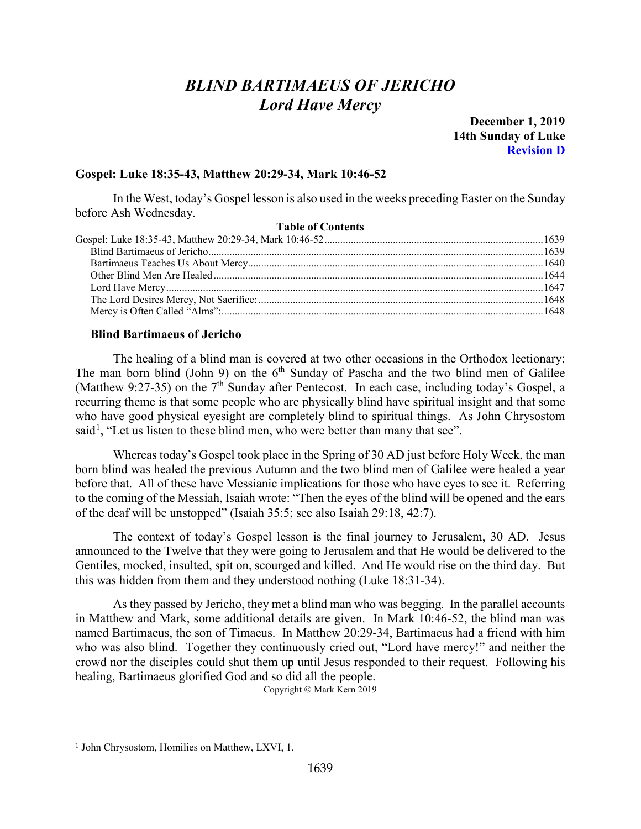# *BLIND BARTIMAEUS OF JERICHO Lord Have Mercy*

**December 1, 2019 14th Sunday of Luke Revision D**

## <span id="page-0-0"></span>**Gospel: Luke 18:35-43, Matthew 20:29-34, Mark 10:46-52**

In the West, today's Gospel lesson is also used in the weeks preceding Easter on the Sunday before Ash Wednesday.

## **Table of Contents**

#### <span id="page-0-1"></span>**Blind Bartimaeus of Jericho**

The healing of a blind man is covered at two other occasions in the Orthodox lectionary: The man born blind (John 9) on the  $6<sup>th</sup>$  Sunday of Pascha and the two blind men of Galilee (Matthew 9:27-35) on the  $7<sup>th</sup>$  Sunday after Pentecost. In each case, including today's Gospel, a recurring theme is that some people who are physically blind have spiritual insight and that some who have good physical eyesight are completely blind to spiritual things. As John Chrysostom said<sup>[1](#page-0-2)</sup>, "Let us listen to these blind men, who were better than many that see".

Whereas today's Gospel took place in the Spring of 30 AD just before Holy Week, the man born blind was healed the previous Autumn and the two blind men of Galilee were healed a year before that. All of these have Messianic implications for those who have eyes to see it. Referring to the coming of the Messiah, Isaiah wrote: "Then the eyes of the blind will be opened and the ears of the deaf will be unstopped" (Isaiah 35:5; see also Isaiah 29:18, 42:7).

The context of today's Gospel lesson is the final journey to Jerusalem, 30 AD. Jesus announced to the Twelve that they were going to Jerusalem and that He would be delivered to the Gentiles, mocked, insulted, spit on, scourged and killed. And He would rise on the third day. But this was hidden from them and they understood nothing (Luke 18:31-34).

As they passed by Jericho, they met a blind man who was begging. In the parallel accounts in Matthew and Mark, some additional details are given. In Mark 10:46-52, the blind man was named Bartimaeus, the son of Timaeus. In Matthew 20:29-34, Bartimaeus had a friend with him who was also blind. Together they continuously cried out, "Lord have mercy!" and neither the crowd nor the disciples could shut them up until Jesus responded to their request. Following his healing, Bartimaeus glorified God and so did all the people.

Copyright © Mark Kern 2019

<span id="page-0-2"></span><sup>1</sup> John Chrysostom, Homilies on Matthew, LXVI, 1.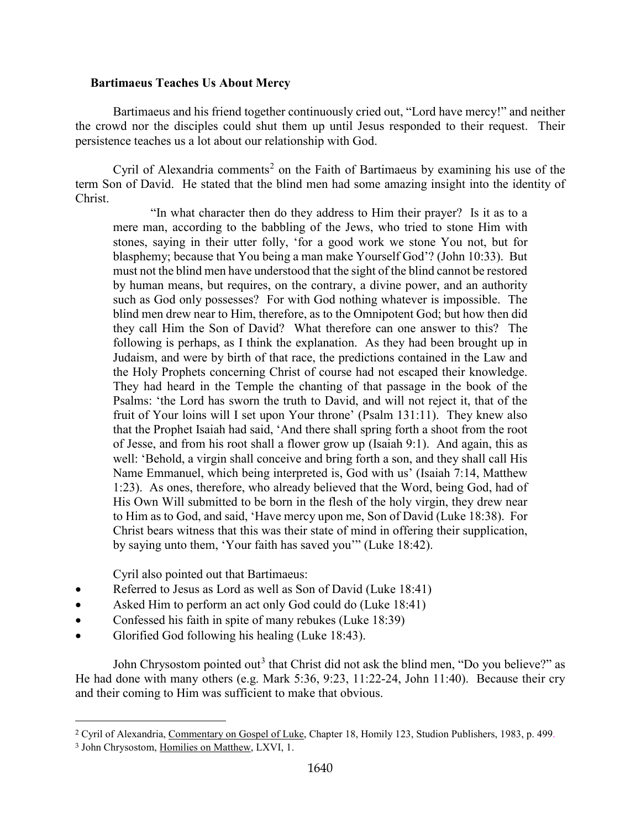## <span id="page-1-0"></span>**Bartimaeus Teaches Us About Mercy**

Bartimaeus and his friend together continuously cried out, "Lord have mercy!" and neither the crowd nor the disciples could shut them up until Jesus responded to their request. Their persistence teaches us a lot about our relationship with God.

Cyril of Alexandria comments<sup>[2](#page-1-1)</sup> on the Faith of Bartimaeus by examining his use of the term Son of David. He stated that the blind men had some amazing insight into the identity of Christ.

"In what character then do they address to Him their prayer? Is it as to a mere man, according to the babbling of the Jews, who tried to stone Him with stones, saying in their utter folly, 'for a good work we stone You not, but for blasphemy; because that You being a man make Yourself God'? (John 10:33). But must not the blind men have understood that the sight of the blind cannot be restored by human means, but requires, on the contrary, a divine power, and an authority such as God only possesses? For with God nothing whatever is impossible. The blind men drew near to Him, therefore, as to the Omnipotent God; but how then did they call Him the Son of David? What therefore can one answer to this? The following is perhaps, as I think the explanation. As they had been brought up in Judaism, and were by birth of that race, the predictions contained in the Law and the Holy Prophets concerning Christ of course had not escaped their knowledge. They had heard in the Temple the chanting of that passage in the book of the Psalms: 'the Lord has sworn the truth to David, and will not reject it, that of the fruit of Your loins will I set upon Your throne' (Psalm 131:11). They knew also that the Prophet Isaiah had said, 'And there shall spring forth a shoot from the root of Jesse, and from his root shall a flower grow up (Isaiah 9:1). And again, this as well: 'Behold, a virgin shall conceive and bring forth a son, and they shall call His Name Emmanuel, which being interpreted is, God with us' (Isaiah 7:14, Matthew 1:23). As ones, therefore, who already believed that the Word, being God, had of His Own Will submitted to be born in the flesh of the holy virgin, they drew near to Him as to God, and said, 'Have mercy upon me, Son of David (Luke 18:38). For Christ bears witness that this was their state of mind in offering their supplication, by saying unto them, 'Your faith has saved you'" (Luke 18:42).

Cyril also pointed out that Bartimaeus:

- Referred to Jesus as Lord as well as Son of David (Luke 18:41)
- Asked Him to perform an act only God could do (Luke 18:41)
- Confessed his faith in spite of many rebukes (Luke 18:39)
- Glorified God following his healing (Luke 18:43).

John Chrysostom pointed out<sup>[3](#page-1-2)</sup> that Christ did not ask the blind men, "Do you believe?" as He had done with many others (e.g. Mark 5:36, 9:23, 11:22-24, John 11:40). Because their cry and their coming to Him was sufficient to make that obvious.

<span id="page-1-1"></span><sup>2</sup> Cyril of Alexandria, Commentary on Gospel of Luke, Chapter 18, Homily 123, Studion Publishers, 1983, p. 499.

<span id="page-1-2"></span><sup>3</sup> John Chrysostom, Homilies on Matthew, LXVI, 1.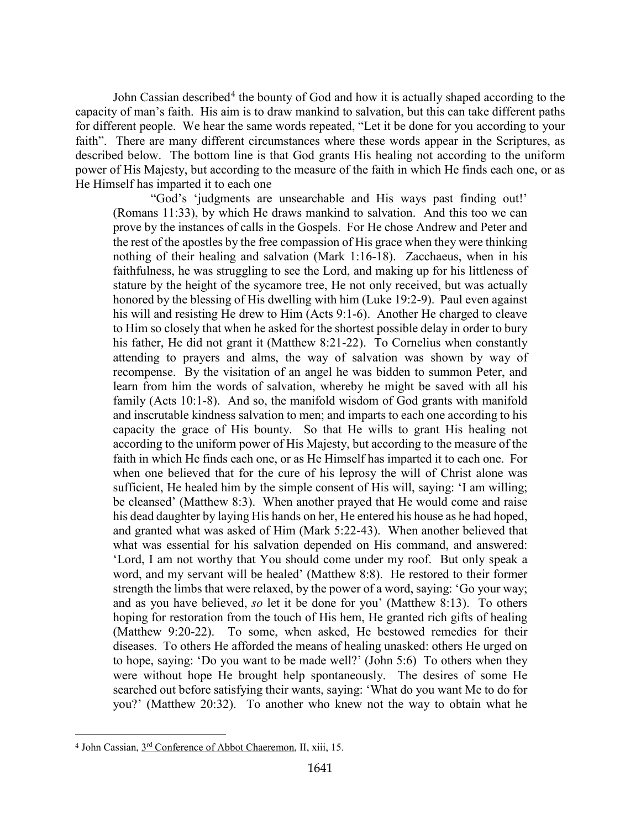John Cassian described<sup>[4](#page-2-0)</sup> the bounty of God and how it is actually shaped according to the capacity of man's faith. His aim is to draw mankind to salvation, but this can take different paths for different people. We hear the same words repeated, "Let it be done for you according to your faith". There are many different circumstances where these words appear in the Scriptures, as described below. The bottom line is that God grants His healing not according to the uniform power of His Majesty, but according to the measure of the faith in which He finds each one, or as He Himself has imparted it to each one

"God's 'judgments are unsearchable and His ways past finding out!' (Romans 11:33), by which He draws mankind to salvation. And this too we can prove by the instances of calls in the Gospels. For He chose Andrew and Peter and the rest of the apostles by the free compassion of His grace when they were thinking nothing of their healing and salvation (Mark 1:16-18). Zacchaeus, when in his faithfulness, he was struggling to see the Lord, and making up for his littleness of stature by the height of the sycamore tree, He not only received, but was actually honored by the blessing of His dwelling with him (Luke 19:2-9). Paul even against his will and resisting He drew to Him (Acts 9:1-6). Another He charged to cleave to Him so closely that when he asked for the shortest possible delay in order to bury his father, He did not grant it (Matthew 8:21-22). To Cornelius when constantly attending to prayers and alms, the way of salvation was shown by way of recompense. By the visitation of an angel he was bidden to summon Peter, and learn from him the words of salvation, whereby he might be saved with all his family (Acts 10:1-8). And so, the manifold wisdom of God grants with manifold and inscrutable kindness salvation to men; and imparts to each one according to his capacity the grace of His bounty. So that He wills to grant His healing not according to the uniform power of His Majesty, but according to the measure of the faith in which He finds each one, or as He Himself has imparted it to each one. For when one believed that for the cure of his leprosy the will of Christ alone was sufficient, He healed him by the simple consent of His will, saying: 'I am willing; be cleansed' (Matthew 8:3). When another prayed that He would come and raise his dead daughter by laying His hands on her, He entered his house as he had hoped, and granted what was asked of Him (Mark 5:22-43). When another believed that what was essential for his salvation depended on His command, and answered: 'Lord, I am not worthy that You should come under my roof. But only speak a word, and my servant will be healed' (Matthew 8:8). He restored to their former strength the limbs that were relaxed, by the power of a word, saying: 'Go your way; and as you have believed, *so* let it be done for you' (Matthew 8:13). To others hoping for restoration from the touch of His hem, He granted rich gifts of healing (Matthew 9:20-22). To some, when asked, He bestowed remedies for their diseases. To others He afforded the means of healing unasked: others He urged on to hope, saying: 'Do you want to be made well?' (John 5:6) To others when they were without hope He brought help spontaneously. The desires of some He searched out before satisfying their wants, saying: 'What do you want Me to do for you?' (Matthew 20:32). To another who knew not the way to obtain what he

<span id="page-2-0"></span><sup>4</sup> John Cassian, 3rd Conference of Abbot Chaeremon, II, xiii, 15.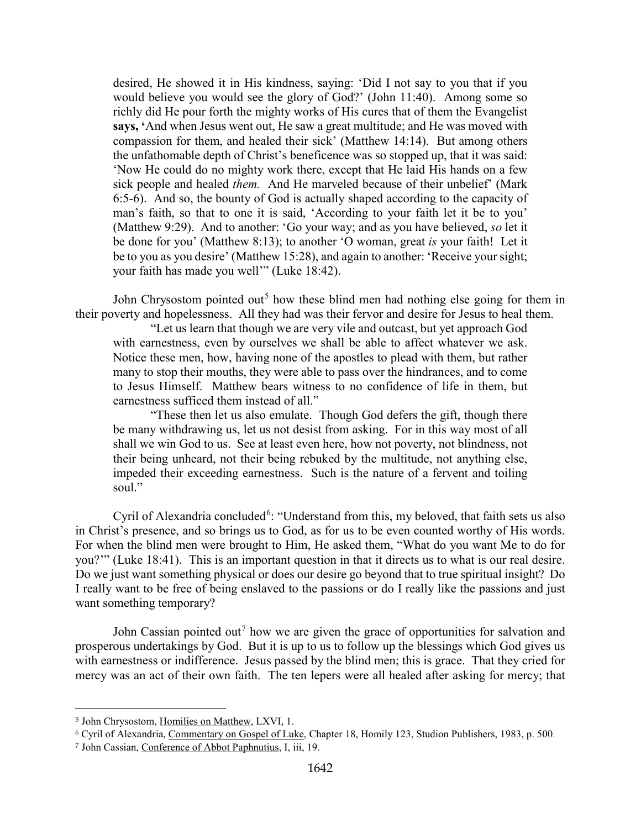desired, He showed it in His kindness, saying: 'Did I not say to you that if you would believe you would see the glory of God?' (John 11:40). Among some so richly did He pour forth the mighty works of His cures that of them the Evangelist **says, '**And when Jesus went out, He saw a great multitude; and He was moved with compassion for them, and healed their sick' (Matthew 14:14). But among others the unfathomable depth of Christ's beneficence was so stopped up, that it was said: 'Now He could do no mighty work there, except that He laid His hands on a few sick people and healed *them.* And He marveled because of their unbelief' (Mark 6:5-6). And so, the bounty of God is actually shaped according to the capacity of man's faith, so that to one it is said, 'According to your faith let it be to you' (Matthew 9:29). And to another: 'Go your way; and as you have believed, *so* let it be done for you' (Matthew 8:13); to another 'O woman, great *is* your faith! Let it be to you as you desire' (Matthew 15:28), and again to another: 'Receive your sight; your faith has made you well'" (Luke 18:42).

John Chrysostom pointed out<sup>[5](#page-3-0)</sup> how these blind men had nothing else going for them in their poverty and hopelessness. All they had was their fervor and desire for Jesus to heal them.

"Let us learn that though we are very vile and outcast, but yet approach God with earnestness, even by ourselves we shall be able to affect whatever we ask. Notice these men, how, having none of the apostles to plead with them, but rather many to stop their mouths, they were able to pass over the hindrances, and to come to Jesus Himself. Matthew bears witness to no confidence of life in them, but earnestness sufficed them instead of all."

"These then let us also emulate. Though God defers the gift, though there be many withdrawing us, let us not desist from asking. For in this way most of all shall we win God to us. See at least even here, how not poverty, not blindness, not their being unheard, not their being rebuked by the multitude, not anything else, impeded their exceeding earnestness. Such is the nature of a fervent and toiling soul."

Cyril of Alexandria concluded<sup>[6](#page-3-1)</sup>: "Understand from this, my beloved, that faith sets us also in Christ's presence, and so brings us to God, as for us to be even counted worthy of His words. For when the blind men were brought to Him, He asked them, "What do you want Me to do for you?'" (Luke 18:41). This is an important question in that it directs us to what is our real desire. Do we just want something physical or does our desire go beyond that to true spiritual insight? Do I really want to be free of being enslaved to the passions or do I really like the passions and just want something temporary?

John Cassian pointed out<sup>[7](#page-3-2)</sup> how we are given the grace of opportunities for salvation and prosperous undertakings by God. But it is up to us to follow up the blessings which God gives us with earnestness or indifference. Jesus passed by the blind men; this is grace. That they cried for mercy was an act of their own faith. The ten lepers were all healed after asking for mercy; that

<span id="page-3-0"></span><sup>5</sup> John Chrysostom, Homilies on Matthew, LXVI, 1.

<span id="page-3-1"></span><sup>6</sup> Cyril of Alexandria, Commentary on Gospel of Luke, Chapter 18, Homily 123, Studion Publishers, 1983, p. 500.

<span id="page-3-2"></span><sup>7</sup> John Cassian, Conference of Abbot Paphnutius, I, iii, 19.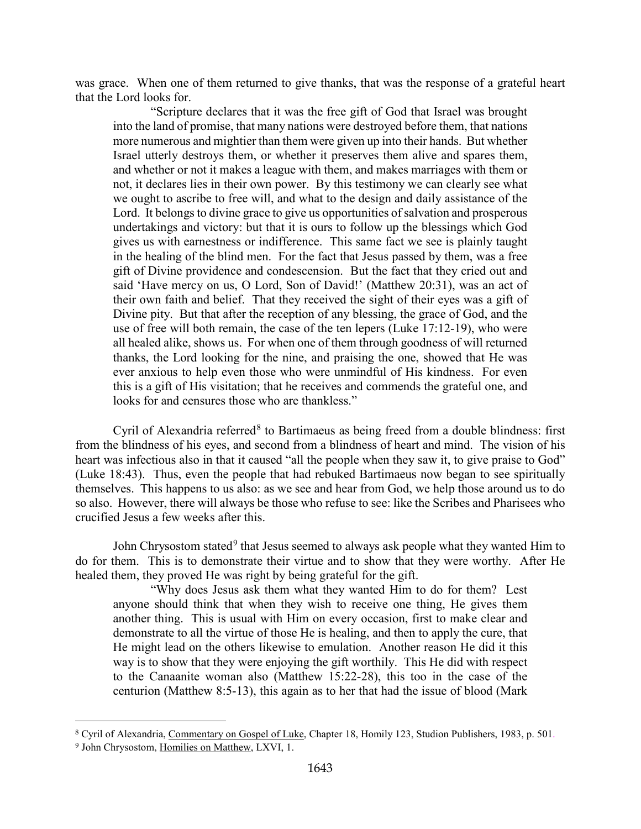was grace. When one of them returned to give thanks, that was the response of a grateful heart that the Lord looks for.

"Scripture declares that it was the free gift of God that Israel was brought into the land of promise, that many nations were destroyed before them, that nations more numerous and mightier than them were given up into their hands. But whether Israel utterly destroys them, or whether it preserves them alive and spares them, and whether or not it makes a league with them, and makes marriages with them or not, it declares lies in their own power. By this testimony we can clearly see what we ought to ascribe to free will, and what to the design and daily assistance of the Lord. It belongs to divine grace to give us opportunities of salvation and prosperous undertakings and victory: but that it is ours to follow up the blessings which God gives us with earnestness or indifference. This same fact we see is plainly taught in the healing of the blind men. For the fact that Jesus passed by them, was a free gift of Divine providence and condescension. But the fact that they cried out and said 'Have mercy on us, O Lord, Son of David!' (Matthew 20:31), was an act of their own faith and belief. That they received the sight of their eyes was a gift of Divine pity. But that after the reception of any blessing, the grace of God, and the use of free will both remain, the case of the ten lepers (Luke 17:12-19), who were all healed alike, shows us. For when one of them through goodness of will returned thanks, the Lord looking for the nine, and praising the one, showed that He was ever anxious to help even those who were unmindful of His kindness. For even this is a gift of His visitation; that he receives and commends the grateful one, and looks for and censures those who are thankless."

Cyril of Alexandria referred $8$  to Bartimaeus as being freed from a double blindness: first from the blindness of his eyes, and second from a blindness of heart and mind. The vision of his heart was infectious also in that it caused "all the people when they saw it, to give praise to God" (Luke 18:43). Thus, even the people that had rebuked Bartimaeus now began to see spiritually themselves. This happens to us also: as we see and hear from God, we help those around us to do so also. However, there will always be those who refuse to see: like the Scribes and Pharisees who crucified Jesus a few weeks after this.

John Chrysostom stated<sup>[9](#page-4-1)</sup> that Jesus seemed to always ask people what they wanted Him to do for them. This is to demonstrate their virtue and to show that they were worthy. After He healed them, they proved He was right by being grateful for the gift.

"Why does Jesus ask them what they wanted Him to do for them? Lest anyone should think that when they wish to receive one thing, He gives them another thing. This is usual with Him on every occasion, first to make clear and demonstrate to all the virtue of those He is healing, and then to apply the cure, that He might lead on the others likewise to emulation. Another reason He did it this way is to show that they were enjoying the gift worthily. This He did with respect to the Canaanite woman also (Matthew 15:22-28), this too in the case of the centurion (Matthew 8:5-13), this again as to her that had the issue of blood (Mark

<span id="page-4-1"></span><span id="page-4-0"></span><sup>8</sup> Cyril of Alexandria, Commentary on Gospel of Luke, Chapter 18, Homily 123, Studion Publishers, 1983, p. 501. <sup>9</sup> John Chrysostom, Homilies on Matthew, LXVI, 1.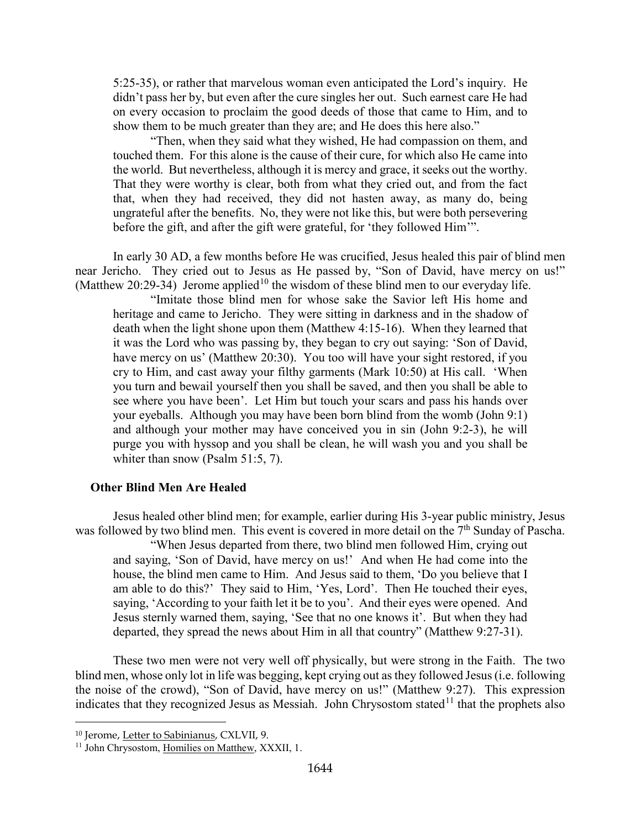5:25-35), or rather that marvelous woman even anticipated the Lord's inquiry. He didn't pass her by, but even after the cure singles her out. Such earnest care He had on every occasion to proclaim the good deeds of those that came to Him, and to show them to be much greater than they are; and He does this here also."

"Then, when they said what they wished, He had compassion on them, and touched them. For this alone is the cause of their cure, for which also He came into the world. But nevertheless, although it is mercy and grace, it seeks out the worthy. That they were worthy is clear, both from what they cried out, and from the fact that, when they had received, they did not hasten away, as many do, being ungrateful after the benefits. No, they were not like this, but were both persevering before the gift, and after the gift were grateful, for 'they followed Him'".

In early 30 AD, a few months before He was crucified, Jesus healed this pair of blind men near Jericho. They cried out to Jesus as He passed by, "Son of David, have mercy on us!" (Matthew 20:29-34) Jerome applied<sup>[10](#page-5-1)</sup> the wisdom of these blind men to our everyday life.

"Imitate those blind men for whose sake the Savior left His home and heritage and came to Jericho. They were sitting in darkness and in the shadow of death when the light shone upon them (Matthew 4:15-16). When they learned that it was the Lord who was passing by, they began to cry out saying: 'Son of David, have mercy on us' (Matthew 20:30). You too will have your sight restored, if you cry to Him, and cast away your filthy garments (Mark 10:50) at His call. 'When you turn and bewail yourself then you shall be saved, and then you shall be able to see where you have been'. Let Him but touch your scars and pass his hands over your eyeballs. Although you may have been born blind from the womb (John 9:1) and although your mother may have conceived you in sin (John 9:2-3), he will purge you with hyssop and you shall be clean, he will wash you and you shall be whiter than snow (Psalm 51:5, 7).

#### <span id="page-5-0"></span>**Other Blind Men Are Healed**

Jesus healed other blind men; for example, earlier during His 3-year public ministry, Jesus was followed by two blind men. This event is covered in more detail on the 7<sup>th</sup> Sunday of Pascha.

"When Jesus departed from there, two blind men followed Him, crying out and saying, 'Son of David, have mercy on us!' And when He had come into the house, the blind men came to Him. And Jesus said to them, 'Do you believe that I am able to do this?' They said to Him, 'Yes, Lord'. Then He touched their eyes, saying, 'According to your faith let it be to you'. And their eyes were opened. And Jesus sternly warned them, saying, 'See that no one knows it'. But when they had departed, they spread the news about Him in all that country" (Matthew 9:27-31).

These two men were not very well off physically, but were strong in the Faith. The two blind men, whose only lot in life was begging, kept crying out as they followed Jesus (i.e. following the noise of the crowd), "Son of David, have mercy on us!" (Matthew 9:27). This expression indicates that they recognized Jesus as Messiah. John Chrysostom stated<sup>[11](#page-5-2)</sup> that the prophets also

<span id="page-5-1"></span><sup>10</sup> Jerome, Letter to Sabinianus, CXLVII, 9.

<span id="page-5-2"></span><sup>&</sup>lt;sup>11</sup> John Chrysostom, Homilies on Matthew, XXXII, 1.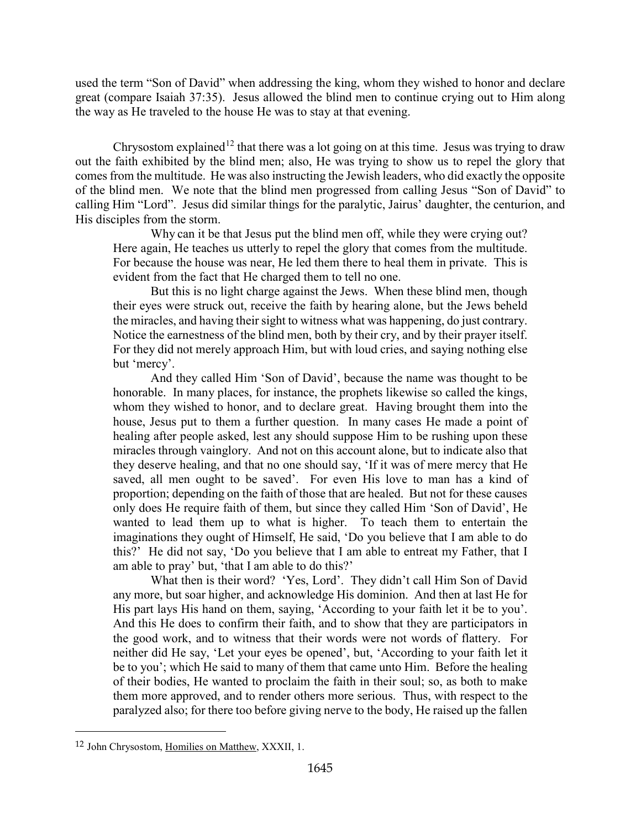used the term "Son of David" when addressing the king, whom they wished to honor and declare great (compare Isaiah 37:35). Jesus allowed the blind men to continue crying out to Him along the way as He traveled to the house He was to stay at that evening.

Chrysostom explained<sup>[12](#page-6-0)</sup> that there was a lot going on at this time. Jesus was trying to draw out the faith exhibited by the blind men; also, He was trying to show us to repel the glory that comes from the multitude. He was also instructing the Jewish leaders, who did exactly the opposite of the blind men. We note that the blind men progressed from calling Jesus "Son of David" to calling Him "Lord". Jesus did similar things for the paralytic, Jairus' daughter, the centurion, and His disciples from the storm.

Why can it be that Jesus put the blind men off, while they were crying out? Here again, He teaches us utterly to repel the glory that comes from the multitude. For because the house was near, He led them there to heal them in private. This is evident from the fact that He charged them to tell no one.

But this is no light charge against the Jews. When these blind men, though their eyes were struck out, receive the faith by hearing alone, but the Jews beheld the miracles, and having their sight to witness what was happening, do just contrary. Notice the earnestness of the blind men, both by their cry, and by their prayer itself. For they did not merely approach Him, but with loud cries, and saying nothing else but 'mercy'.

And they called Him 'Son of David', because the name was thought to be honorable. In many places, for instance, the prophets likewise so called the kings, whom they wished to honor, and to declare great. Having brought them into the house, Jesus put to them a further question. In many cases He made a point of healing after people asked, lest any should suppose Him to be rushing upon these miracles through vainglory. And not on this account alone, but to indicate also that they deserve healing, and that no one should say, 'If it was of mere mercy that He saved, all men ought to be saved'. For even His love to man has a kind of proportion; depending on the faith of those that are healed. But not for these causes only does He require faith of them, but since they called Him 'Son of David', He wanted to lead them up to what is higher. To teach them to entertain the imaginations they ought of Himself, He said, 'Do you believe that I am able to do this?' He did not say, 'Do you believe that I am able to entreat my Father, that I am able to pray' but, 'that I am able to do this?'

What then is their word? 'Yes, Lord'. They didn't call Him Son of David any more, but soar higher, and acknowledge His dominion. And then at last He for His part lays His hand on them, saying, 'According to your faith let it be to you'. And this He does to confirm their faith, and to show that they are participators in the good work, and to witness that their words were not words of flattery. For neither did He say, 'Let your eyes be opened', but, 'According to your faith let it be to you'; which He said to many of them that came unto Him. Before the healing of their bodies, He wanted to proclaim the faith in their soul; so, as both to make them more approved, and to render others more serious. Thus, with respect to the paralyzed also; for there too before giving nerve to the body, He raised up the fallen

<span id="page-6-0"></span><sup>12</sup> John Chrysostom, Homilies on Matthew, XXXII, 1.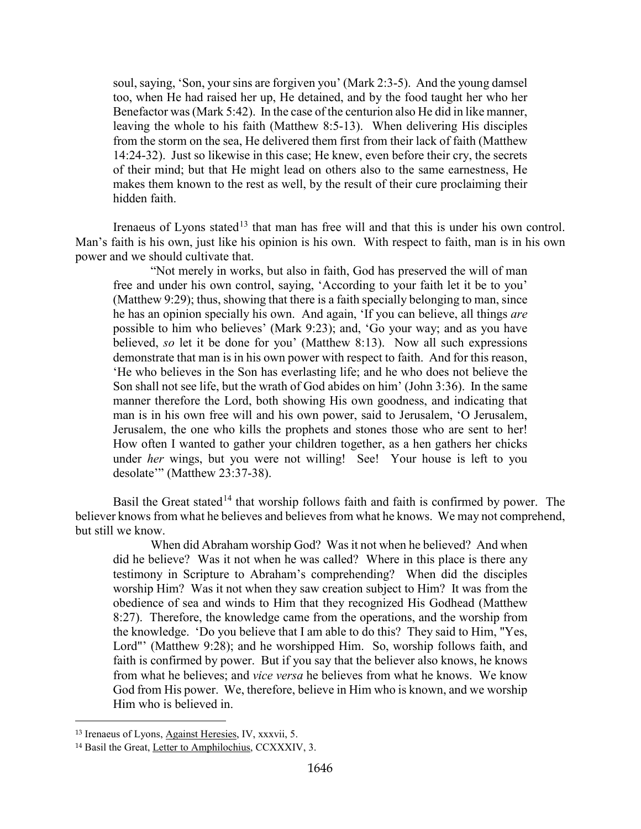soul, saying, 'Son, your sins are forgiven you' (Mark 2:3-5). And the young damsel too, when He had raised her up, He detained, and by the food taught her who her Benefactor was (Mark 5:42). In the case of the centurion also He did in like manner, leaving the whole to his faith (Matthew 8:5-13). When delivering His disciples from the storm on the sea, He delivered them first from their lack of faith (Matthew 14:24-32). Just so likewise in this case; He knew, even before their cry, the secrets of their mind; but that He might lead on others also to the same earnestness, He makes them known to the rest as well, by the result of their cure proclaiming their hidden faith.

Irenaeus of Lyons stated<sup>[13](#page-7-0)</sup> that man has free will and that this is under his own control. Man's faith is his own, just like his opinion is his own. With respect to faith, man is in his own power and we should cultivate that.

"Not merely in works, but also in faith, God has preserved the will of man free and under his own control, saying, 'According to your faith let it be to you' (Matthew 9:29); thus, showing that there is a faith specially belonging to man, since he has an opinion specially his own. And again, 'If you can believe, all things *are*  possible to him who believes' (Mark 9:23); and, 'Go your way; and as you have believed, *so* let it be done for you' (Matthew 8:13). Now all such expressions demonstrate that man is in his own power with respect to faith. And for this reason, 'He who believes in the Son has everlasting life; and he who does not believe the Son shall not see life, but the wrath of God abides on him' (John 3:36). In the same manner therefore the Lord, both showing His own goodness, and indicating that man is in his own free will and his own power, said to Jerusalem, 'O Jerusalem, Jerusalem, the one who kills the prophets and stones those who are sent to her! How often I wanted to gather your children together, as a hen gathers her chicks under *her* wings, but you were not willing! See! Your house is left to you desolate"" (Matthew 23:37-38).

Basil the Great stated<sup>[14](#page-7-1)</sup> that worship follows faith and faith is confirmed by power. The believer knows from what he believes and believes from what he knows. We may not comprehend, but still we know.

When did Abraham worship God? Was it not when he believed? And when did he believe? Was it not when he was called? Where in this place is there any testimony in Scripture to Abraham's comprehending? When did the disciples worship Him? Was it not when they saw creation subject to Him? It was from the obedience of sea and winds to Him that they recognized His Godhead (Matthew 8:27). Therefore, the knowledge came from the operations, and the worship from the knowledge. 'Do you believe that I am able to do this? They said to Him, "Yes, Lord"' (Matthew 9:28); and he worshipped Him. So, worship follows faith, and faith is confirmed by power. But if you say that the believer also knows, he knows from what he believes; and *vice versa* he believes from what he knows. We know God from His power. We, therefore, believe in Him who is known, and we worship Him who is believed in.

<span id="page-7-0"></span><sup>13</sup> Irenaeus of Lyons, Against Heresies, IV, xxxvii, 5.

<span id="page-7-1"></span><sup>14</sup> Basil the Great, Letter to Amphilochius, CCXXXIV, 3.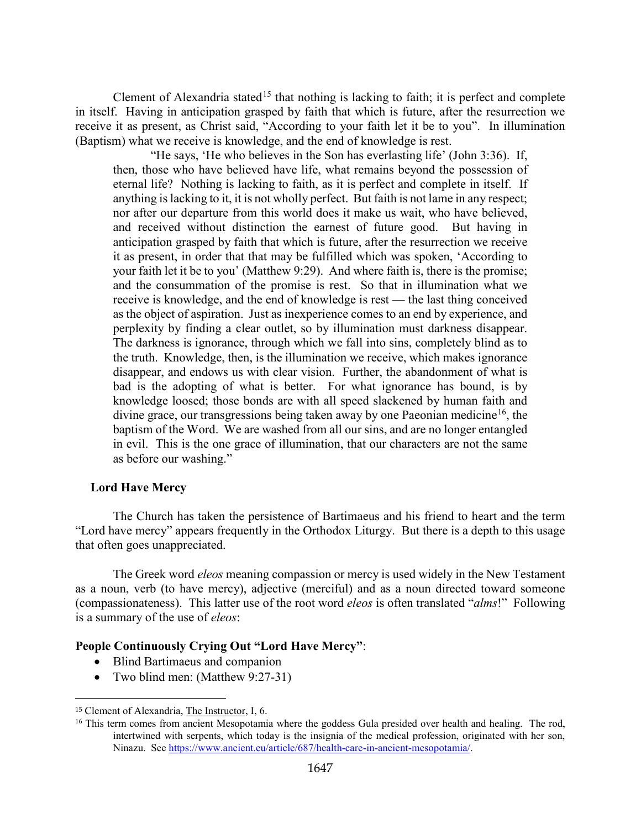Clement of Alexandria stated<sup>[15](#page-8-1)</sup> that nothing is lacking to faith; it is perfect and complete in itself. Having in anticipation grasped by faith that which is future, after the resurrection we receive it as present, as Christ said, "According to your faith let it be to you". In illumination (Baptism) what we receive is knowledge, and the end of knowledge is rest.

"He says, 'He who believes in the Son has everlasting life' (John 3:36). If, then, those who have believed have life, what remains beyond the possession of eternal life? Nothing is lacking to faith, as it is perfect and complete in itself. If anything is lacking to it, it is not wholly perfect. But faith is not lame in any respect; nor after our departure from this world does it make us wait, who have believed, and received without distinction the earnest of future good. But having in anticipation grasped by faith that which is future, after the resurrection we receive it as present, in order that that may be fulfilled which was spoken, 'According to your faith let it be to you' (Matthew 9:29). And where faith is, there is the promise; and the consummation of the promise is rest. So that in illumination what we receive is knowledge, and the end of knowledge is rest — the last thing conceived as the object of aspiration. Just as inexperience comes to an end by experience, and perplexity by finding a clear outlet, so by illumination must darkness disappear. The darkness is ignorance, through which we fall into sins, completely blind as to the truth. Knowledge, then, is the illumination we receive, which makes ignorance disappear, and endows us with clear vision. Further, the abandonment of what is bad is the adopting of what is better. For what ignorance has bound, is by knowledge loosed; those bonds are with all speed slackened by human faith and divine grace, our transgressions being taken away by one Paeonian medicine<sup>16</sup>, the baptism of the Word. We are washed from all our sins, and are no longer entangled in evil. This is the one grace of illumination, that our characters are not the same as before our washing."

## <span id="page-8-0"></span>**Lord Have Mercy**

The Church has taken the persistence of Bartimaeus and his friend to heart and the term "Lord have mercy" appears frequently in the Orthodox Liturgy. But there is a depth to this usage that often goes unappreciated.

The Greek word *eleos* meaning compassion or mercy is used widely in the New Testament as a noun, verb (to have mercy), adjective (merciful) and as a noun directed toward someone (compassionateness). This latter use of the root word *eleos* is often translated "*alms*!" Following is a summary of the use of *eleos*:

## **People Continuously Crying Out "Lord Have Mercy"**:

- Blind Bartimaeus and companion
- Two blind men: (Matthew 9:27-31)

<span id="page-8-1"></span><sup>15</sup> Clement of Alexandria, The Instructor, I, 6.

<span id="page-8-2"></span><sup>&</sup>lt;sup>16</sup> This term comes from ancient Mesopotamia where the goddess Gula presided over health and healing. The rod, intertwined with serpents, which today is the insignia of the medical profession, originated with her son, Ninazu. See [https://www.ancient.eu/article/687/health-care-in-ancient-mesopotamia/.](https://www.ancient.eu/article/687/health-care-in-ancient-mesopotamia/)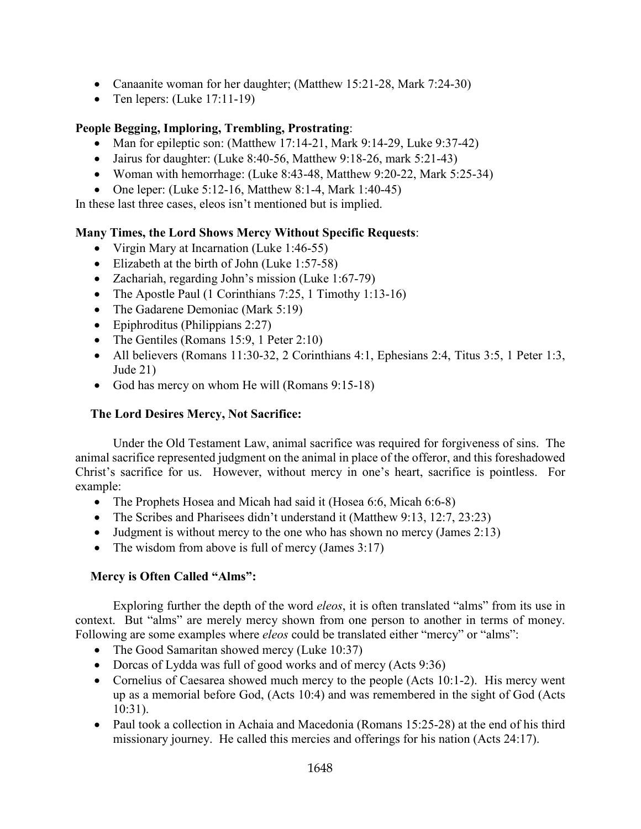- Canaanite woman for her daughter; (Matthew 15:21-28, Mark 7:24-30)
- Ten lepers:  $(Luke 17:11-19)$

# **People Begging, Imploring, Trembling, Prostrating**:

- Man for epileptic son: (Matthew 17:14-21, Mark 9:14-29, Luke 9:37-42)
- Jairus for daughter: (Luke  $8:40-56$ , Matthew  $9:18-26$ , mark  $5:21-43$ )
- Woman with hemorrhage: (Luke 8:43-48, Matthew 9:20-22, Mark 5:25-34)
- One leper: (Luke 5:12-16, Matthew 8:1-4, Mark 1:40-45)

In these last three cases, eleos isn't mentioned but is implied.

# **Many Times, the Lord Shows Mercy Without Specific Requests**:

- Virgin Mary at Incarnation (Luke 1:46-55)
- Elizabeth at the birth of John (Luke 1:57-58)
- Zachariah, regarding John's mission (Luke 1:67-79)
- The Apostle Paul (1 Corinthians 7:25, 1 Timothy 1:13-16)
- The Gadarene Demoniac (Mark 5:19)
- Epiphroditus (Philippians 2:27)
- The Gentiles (Romans 15:9, 1 Peter 2:10)
- All believers (Romans 11:30-32, 2 Corinthians 4:1, Ephesians 2:4, Titus 3:5, 1 Peter 1:3, Jude 21)
- God has mercy on whom He will (Romans 9:15-18)

# <span id="page-9-0"></span>**The Lord Desires Mercy, Not Sacrifice:**

Under the Old Testament Law, animal sacrifice was required for forgiveness of sins. The animal sacrifice represented judgment on the animal in place of the offeror, and this foreshadowed Christ's sacrifice for us. However, without mercy in one's heart, sacrifice is pointless. For example:

- The Prophets Hosea and Micah had said it (Hosea 6:6, Micah 6:6-8)
- The Scribes and Pharisees didn't understand it (Matthew 9:13, 12:7, 23:23)
- Judgment is without mercy to the one who has shown no mercy (James 2:13)
- The wisdom from above is full of mercy (James  $3:17$ )

# <span id="page-9-1"></span>**Mercy is Often Called "Alms":**

Exploring further the depth of the word *eleos*, it is often translated "alms" from its use in context. But "alms" are merely mercy shown from one person to another in terms of money. Following are some examples where *eleos* could be translated either "mercy" or "alms":

- The Good Samaritan showed mercy (Luke 10:37)
- Dorcas of Lydda was full of good works and of mercy (Acts 9:36)
- Cornelius of Caesarea showed much mercy to the people (Acts 10:1-2). His mercy went up as a memorial before God, (Acts 10:4) and was remembered in the sight of God (Acts 10:31).
- Paul took a collection in Achaia and Macedonia (Romans 15:25-28) at the end of his third missionary journey. He called this mercies and offerings for his nation (Acts 24:17).